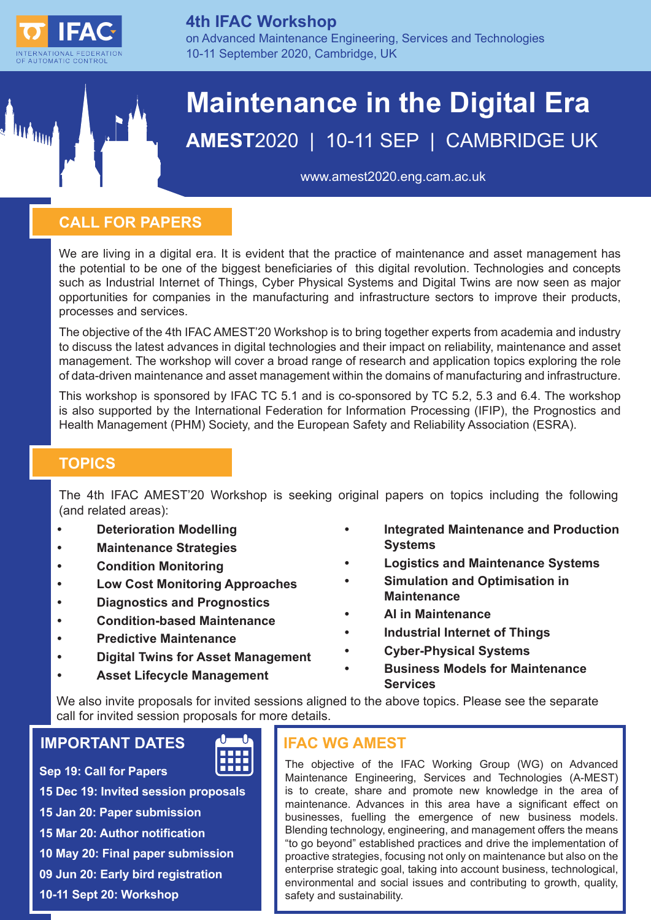

Mum

## **4th IFAC Workshop**

on Advanced Maintenance Engineering, Services and Technologies 10-11 September 2020, Cambridge, UK

# **Maintenance in the Digital Era AMEST**2020 | 10-11 SEP | CAMBRIDGE UK

[www.amest2020.eng.cam.ac.uk](http://www.amest2020.eng.cam.ac.uk)

# **CALL FOR PAPERS**

We are living in a digital era. It is evident that the practice of maintenance and asset management has the potential to be one of the biggest beneficiaries of this digital revolution. Technologies and concepts such as Industrial Internet of Things, Cyber Physical Systems and Digital Twins are now seen as major opportunities for companies in the manufacturing and infrastructure sectors to improve their products, processes and services.

The objective of the 4th IFAC AMEST'20 Workshop is to bring together experts from academia and industry to discuss the latest advances in digital technologies and their impact on reliability, maintenance and asset management. The workshop will cover a broad range of research and application topics exploring the role of data-driven maintenance and asset management within the domains of manufacturing and infrastructure.

This workshop is sponsored by IFAC TC 5.1 and is co-sponsored by TC 5.2, 5.3 and 6.4. The workshop is also supported by the International Federation for Information Processing (IFIP), the Prognostics and Health Management (PHM) Society, and the European Safety and Reliability Association (ESRA).

# **TOPICS**

The 4th IFAC AMEST'20 Workshop is seeking original papers on topics including the following (and related areas):

- **• Deterioration Modelling**
- **• Maintenance Strategies**
- **• Condition Monitoring**
- **• Low Cost Monitoring Approaches**
- **• Diagnostics and Prognostics**
- **• Condition-based Maintenance**
- **• Predictive Maintenance**
- **• Digital Twins for Asset Management**
- **• Asset Lifecycle Management**
- **• Integrated Maintenance and Production Systems**
- **• Logistics and Maintenance Systems**
- **• Simulation and Optimisation in Maintenance**
- **• AI in Maintenance**
- **• Industrial Internet of Things**
- **• Cyber-Physical Systems**
- **• Business Models for Maintenance Services**

We also invite proposals for invited sessions aligned to the above topics. Please see the separate call for invited session proposals for more details.

# **IMPORTANT DATES**

**Sep 19: Call for Papers**



**15 Dec 19: Invited session proposals 15 Jan 20: Paper submission 15 Mar 20: Author notification 10 May 20: Final paper submission 09 Jun 20: Early bird registration 10-11 Sept 20: Workshop**

## **IFAC WG AMEST**

The objective of the IFAC Working Group (WG) on Advanced Maintenance Engineering, Services and Technologies (A-MEST) is to create, share and promote new knowledge in the area of maintenance. Advances in this area have a significant effect on businesses, fuelling the emergence of new business models. Blending technology, engineering, and management offers the means "to go beyond" established practices and drive the implementation of proactive strategies, focusing not only on maintenance but also on the enterprise strategic goal, taking into account business, technological, environmental and social issues and contributing to growth, quality, safety and sustainability.